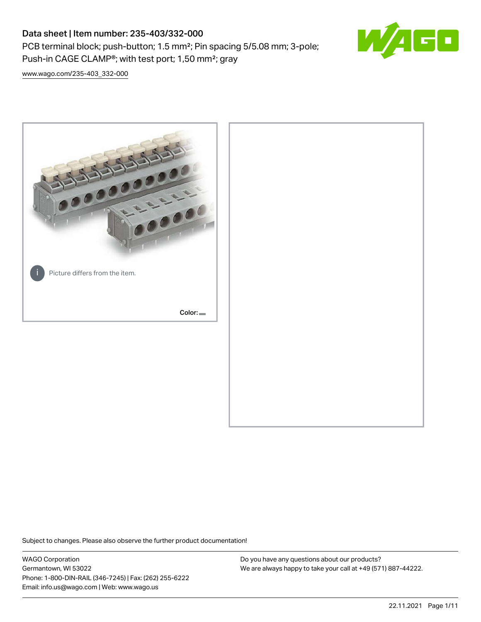PCB terminal block; push-button; 1.5 mm²; Pin spacing 5/5.08 mm; 3-pole; Push-in CAGE CLAMP®; with test port; 1,50 mm²; gray



[www.wago.com/235-403\\_332-000](http://www.wago.com/235-403_332-000)



Subject to changes. Please also observe the further product documentation!

WAGO Corporation Germantown, WI 53022 Phone: 1-800-DIN-RAIL (346-7245) | Fax: (262) 255-6222 Email: info.us@wago.com | Web: www.wago.us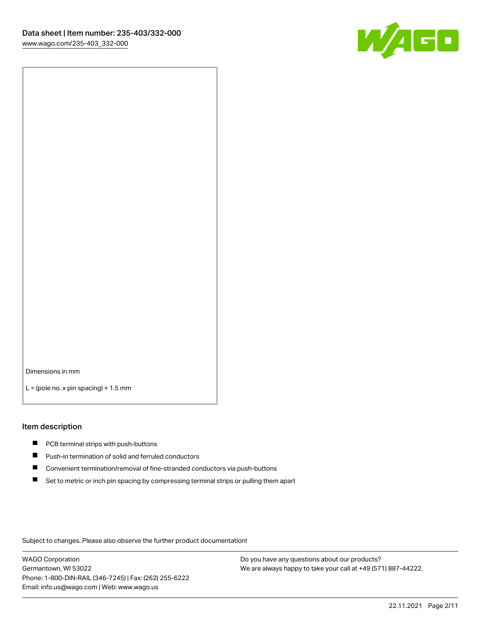

Dimensions in mm

 $L =$  (pole no. x pin spacing) + 1.5 mm

#### Item description

- **PCB terminal strips with push-buttons**
- **Push-in termination of solid and ferruled conductors**
- $\blacksquare$ Convenient termination/removal of fine-stranded conductors via push-buttons
- Set to metric or inch pin spacing by compressing terminal strips or pulling them apart

Subject to changes. Please also observe the further product documentation!

WAGO Corporation Germantown, WI 53022 Phone: 1-800-DIN-RAIL (346-7245) | Fax: (262) 255-6222 Email: info.us@wago.com | Web: www.wago.us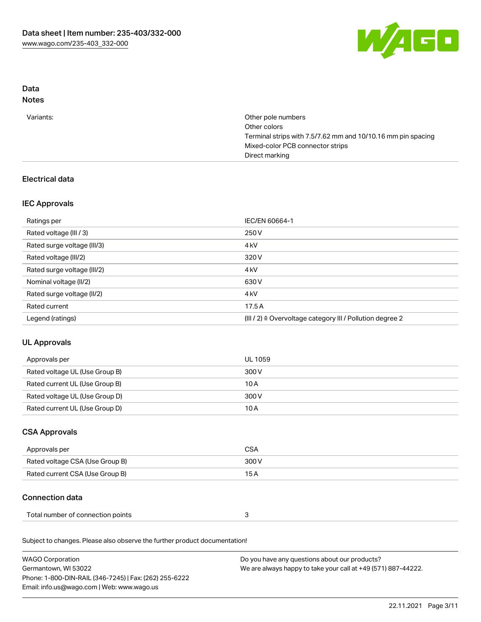

# Data

## Notes

| Other pole numbers                                           |
|--------------------------------------------------------------|
| Other colors                                                 |
| Terminal strips with 7.5/7.62 mm and 10/10.16 mm pin spacing |
| Mixed-color PCB connector strips                             |
| Direct marking                                               |
|                                                              |

## Electrical data

#### IEC Approvals

| Ratings per                 | IEC/EN 60664-1                                            |
|-----------------------------|-----------------------------------------------------------|
| Rated voltage (III / 3)     | 250 V                                                     |
| Rated surge voltage (III/3) | 4 <sub>k</sub> V                                          |
| Rated voltage (III/2)       | 320 V                                                     |
| Rated surge voltage (III/2) | 4 <sub>k</sub> V                                          |
| Nominal voltage (II/2)      | 630 V                                                     |
| Rated surge voltage (II/2)  | 4 <sub>k</sub> V                                          |
| Rated current               | 17.5A                                                     |
| Legend (ratings)            | (III / 2) ≙ Overvoltage category III / Pollution degree 2 |

## UL Approvals

| Approvals per                  | UL 1059 |
|--------------------------------|---------|
| Rated voltage UL (Use Group B) | 300 V   |
| Rated current UL (Use Group B) | 10 A    |
| Rated voltage UL (Use Group D) | 300 V   |
| Rated current UL (Use Group D) | 10 A    |

## CSA Approvals

| Approvals per                   | CSA   |
|---------------------------------|-------|
| Rated voltage CSA (Use Group B) | 300 V |
| Rated current CSA (Use Group B) | 15 A  |

## Connection data

| Total number of connection points |  |  |
|-----------------------------------|--|--|
|-----------------------------------|--|--|

Subject to changes. Please also observe the further product documentation!

| <b>WAGO Corporation</b>                                | Do you have any questions about our products?                 |
|--------------------------------------------------------|---------------------------------------------------------------|
| Germantown, WI 53022                                   | We are always happy to take your call at +49 (571) 887-44222. |
| Phone: 1-800-DIN-RAIL (346-7245)   Fax: (262) 255-6222 |                                                               |
| Email: info.us@wago.com   Web: www.wago.us             |                                                               |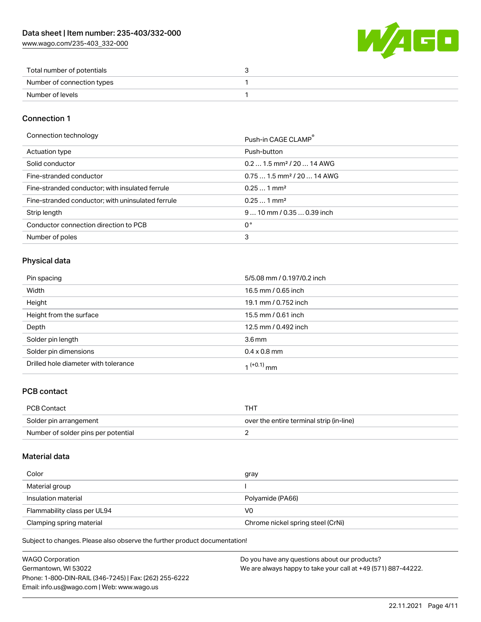[www.wago.com/235-403\\_332-000](http://www.wago.com/235-403_332-000)



| Total number of potentials |  |
|----------------------------|--|
| Number of connection types |  |
| Number of levels           |  |

#### Connection 1

Connection technology **Push-in CAGE CLAMP<sup>®</sup>** 

|                                                   | PUSN-IN CAGE CLAMP                     |
|---------------------------------------------------|----------------------------------------|
| Actuation type                                    | Push-button                            |
| Solid conductor                                   | $0.21.5$ mm <sup>2</sup> / 20  14 AWG  |
| Fine-stranded conductor                           | $0.751.5$ mm <sup>2</sup> / 20  14 AWG |
| Fine-stranded conductor; with insulated ferrule   | $0.251$ mm <sup>2</sup>                |
| Fine-stranded conductor; with uninsulated ferrule | $0.251$ mm <sup>2</sup>                |
| Strip length                                      | $910$ mm / 0.35  0.39 inch             |
| Conductor connection direction to PCB             | 0°                                     |
| Number of poles                                   | 3                                      |

#### Physical data

| Pin spacing                          | 5/5.08 mm / 0.197/0.2 inch |
|--------------------------------------|----------------------------|
| Width                                | 16.5 mm / 0.65 inch        |
| Height                               | 19.1 mm / 0.752 inch       |
| Height from the surface              | 15.5 mm / 0.61 inch        |
| Depth                                | 12.5 mm / 0.492 inch       |
| Solder pin length                    | 3.6 <sub>mm</sub>          |
| Solder pin dimensions                | $0.4 \times 0.8$ mm        |
| Drilled hole diameter with tolerance | $1^{(+0.1)}$ mm            |

#### PCB contact

| PCB Contact                         | THT                                      |
|-------------------------------------|------------------------------------------|
| Solder pin arrangement              | over the entire terminal strip (in-line) |
| Number of solder pins per potential |                                          |

#### Material data

| Color                       | gray                              |
|-----------------------------|-----------------------------------|
| Material group              |                                   |
| Insulation material         | Polyamide (PA66)                  |
| Flammability class per UL94 | V0                                |
| Clamping spring material    | Chrome nickel spring steel (CrNi) |

Subject to changes. Please also observe the further product documentation!

| <b>WAGO Corporation</b>                                | Do you have any questions about our products?                 |
|--------------------------------------------------------|---------------------------------------------------------------|
| Germantown, WI 53022                                   | We are always happy to take your call at +49 (571) 887-44222. |
| Phone: 1-800-DIN-RAIL (346-7245)   Fax: (262) 255-6222 |                                                               |
| Email: info.us@wago.com   Web: www.wago.us             |                                                               |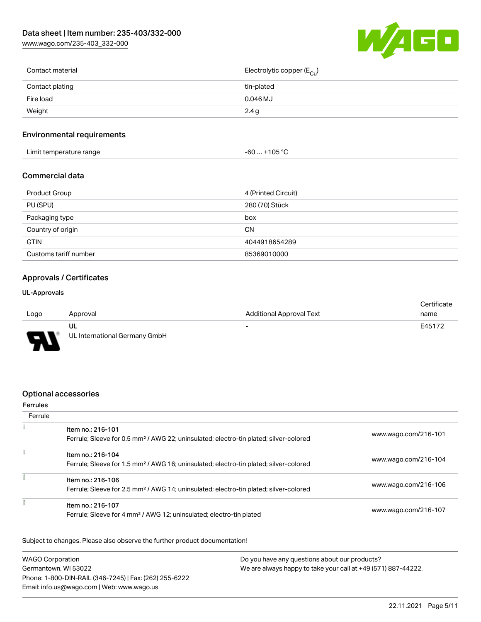[www.wago.com/235-403\\_332-000](http://www.wago.com/235-403_332-000)



| Contact material | Electrolytic copper ( $E_{\text{Cu}}$ ) |
|------------------|-----------------------------------------|
| Contact plating  | tin-plated                              |
| Fire load        | 0.046 MJ                                |
| Weight           | 2.4 g                                   |
|                  |                                         |

#### Environmental requirements

| .<br>Limit temperature range<br>. . | $+105$ °C<br>cc<br>-ou<br>າບວ |  |
|-------------------------------------|-------------------------------|--|
|-------------------------------------|-------------------------------|--|

#### Commercial data

| Product Group         | 4 (Printed Circuit) |
|-----------------------|---------------------|
| PU (SPU)              | 280 (70) Stück      |
| Packaging type        | box                 |
| Country of origin     | CΝ                  |
| <b>GTIN</b>           | 4044918654289       |
| Customs tariff number | 85369010000         |

#### Approvals / Certificates

#### UL-Approvals

|                          |                               |                                 | Certificate |
|--------------------------|-------------------------------|---------------------------------|-------------|
| Logo                     | Approval                      | <b>Additional Approval Text</b> | name        |
|                          | UL                            | $\overline{\phantom{a}}$        | E45172      |
| $\overline{\phantom{0}}$ | UL International Germany GmbH |                                 |             |

#### Optional accessories

#### Ferrules **Ferrule**  $\overline{z}$ Item no.: 216-101 Ferrule; Sleeve for 0.5 mm² / AWG 22; uninsulated; electro-tin plated; silver-colored [www.wago.com/216-101](http://www.wago.com/216-101) ŧ Item no.: 216-104 Ferrule; Sleeve for 1.5 mm² / AWG 16; uninsulated; electro-tin plated; silver-colored [www.wago.com/216-104](http://www.wago.com/216-104) ī Item no.: 216-106 Ferrule; Sleeve for 2.5 mm² / AWG 14; uninsulated; electro-tin plated; silver-colored [www.wago.com/216-106](http://www.wago.com/216-106) ī Item no.: 216-107

Subject to changes. Please also observe the further product documentation!

| <b>WAGO Corporation</b>                                | Do you have any questions about our products?                 |
|--------------------------------------------------------|---------------------------------------------------------------|
| Germantown, WI 53022                                   | We are always happy to take your call at +49 (571) 887-44222. |
| Phone: 1-800-DIN-RAIL (346-7245)   Fax: (262) 255-6222 |                                                               |
| Email: info.us@wago.com   Web: www.wago.us             |                                                               |

Ferrule; Sleeve for 4 mm² / AWG 12; uninsulated; electro-tin plated [www.wago.com/216-107](http://www.wago.com/216-107)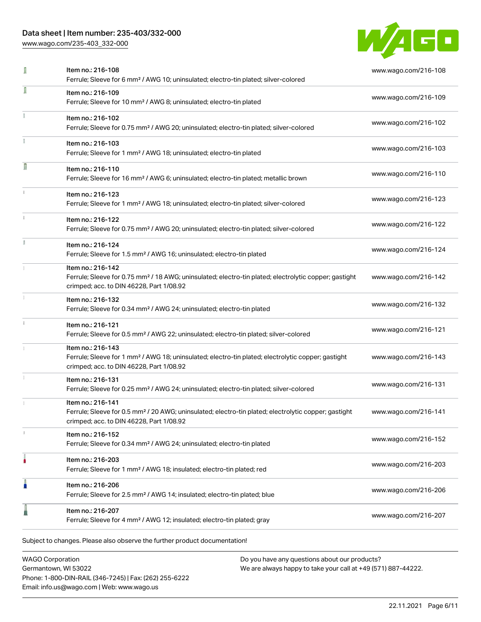[www.wago.com/235-403\\_332-000](http://www.wago.com/235-403_332-000)



| I | Item no.: 216-108<br>Ferrule; Sleeve for 6 mm <sup>2</sup> / AWG 10; uninsulated; electro-tin plated; silver-colored                                                               | www.wago.com/216-108 |
|---|------------------------------------------------------------------------------------------------------------------------------------------------------------------------------------|----------------------|
| I | Item no.: 216-109<br>Ferrule; Sleeve for 10 mm <sup>2</sup> / AWG 8; uninsulated; electro-tin plated                                                                               | www.wago.com/216-109 |
|   | Item no.: 216-102<br>Ferrule; Sleeve for 0.75 mm <sup>2</sup> / AWG 20; uninsulated; electro-tin plated; silver-colored                                                            | www.wago.com/216-102 |
|   | Item no.: 216-103<br>Ferrule; Sleeve for 1 mm <sup>2</sup> / AWG 18; uninsulated; electro-tin plated                                                                               | www.wago.com/216-103 |
| Π | Item no.: 216-110<br>Ferrule; Sleeve for 16 mm <sup>2</sup> / AWG 6; uninsulated; electro-tin plated; metallic brown                                                               | www.wago.com/216-110 |
|   | Item no.: 216-123<br>Ferrule; Sleeve for 1 mm <sup>2</sup> / AWG 18; uninsulated; electro-tin plated; silver-colored                                                               | www.wago.com/216-123 |
|   | Item no.: 216-122<br>Ferrule; Sleeve for 0.75 mm <sup>2</sup> / AWG 20; uninsulated; electro-tin plated; silver-colored                                                            | www.wago.com/216-122 |
|   | Item no.: 216-124<br>Ferrule; Sleeve for 1.5 mm <sup>2</sup> / AWG 16; uninsulated; electro-tin plated                                                                             | www.wago.com/216-124 |
|   | Item no.: 216-142<br>Ferrule; Sleeve for 0.75 mm <sup>2</sup> / 18 AWG; uninsulated; electro-tin plated; electrolytic copper; gastight<br>crimped; acc. to DIN 46228, Part 1/08.92 | www.wago.com/216-142 |
|   | Item no.: 216-132<br>Ferrule; Sleeve for 0.34 mm <sup>2</sup> / AWG 24; uninsulated; electro-tin plated                                                                            | www.wago.com/216-132 |
|   | Item no.: 216-121<br>Ferrule; Sleeve for 0.5 mm <sup>2</sup> / AWG 22; uninsulated; electro-tin plated; silver-colored                                                             | www.wago.com/216-121 |
|   | Item no.: 216-143<br>Ferrule; Sleeve for 1 mm <sup>2</sup> / AWG 18; uninsulated; electro-tin plated; electrolytic copper; gastight<br>crimped; acc. to DIN 46228, Part 1/08.92    | www.wago.com/216-143 |
|   | Item no.: 216-131<br>Ferrule; Sleeve for 0.25 mm <sup>2</sup> / AWG 24; uninsulated; electro-tin plated; silver-colored                                                            | www.wago.com/216-131 |
|   | Item no.: 216-141<br>Ferrule; Sleeve for 0.5 mm <sup>2</sup> / 20 AWG; uninsulated; electro-tin plated; electrolytic copper; gastight<br>crimped; acc. to DIN 46228, Part 1/08.92  | www.wago.com/216-141 |
|   | Item no.: 216-152<br>Ferrule; Sleeve for 0.34 mm <sup>2</sup> / AWG 24; uninsulated; electro-tin plated                                                                            | www.wago.com/216-152 |
|   | Item no.: 216-203<br>Ferrule; Sleeve for 1 mm <sup>2</sup> / AWG 18; insulated; electro-tin plated; red                                                                            | www.wago.com/216-203 |
| I | Item no.: 216-206<br>Ferrule; Sleeve for 2.5 mm <sup>2</sup> / AWG 14; insulated; electro-tin plated; blue                                                                         | www.wago.com/216-206 |
|   | Item no.: 216-207<br>Ferrule; Sleeve for 4 mm <sup>2</sup> / AWG 12; insulated; electro-tin plated; gray                                                                           | www.wago.com/216-207 |

WAGO Corporation Germantown, WI 53022 Phone: 1-800-DIN-RAIL (346-7245) | Fax: (262) 255-6222 Email: info.us@wago.com | Web: www.wago.us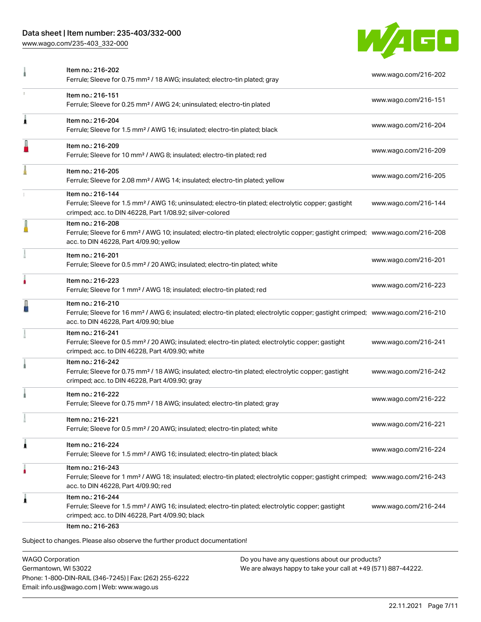[www.wago.com/235-403\\_332-000](http://www.wago.com/235-403_332-000)



| Item no.: 216-151                                                                                                                                                                                 |                                                                                                                                                                                                                                                                                                                                                                                                                                                             |
|---------------------------------------------------------------------------------------------------------------------------------------------------------------------------------------------------|-------------------------------------------------------------------------------------------------------------------------------------------------------------------------------------------------------------------------------------------------------------------------------------------------------------------------------------------------------------------------------------------------------------------------------------------------------------|
| Ferrule; Sleeve for 0.25 mm <sup>2</sup> / AWG 24; uninsulated; electro-tin plated                                                                                                                | www.wago.com/216-151                                                                                                                                                                                                                                                                                                                                                                                                                                        |
| Item no.: 216-204<br>Ferrule; Sleeve for 1.5 mm <sup>2</sup> / AWG 16; insulated; electro-tin plated; black                                                                                       | www.wago.com/216-204                                                                                                                                                                                                                                                                                                                                                                                                                                        |
| Item no.: 216-209<br>Ferrule; Sleeve for 10 mm <sup>2</sup> / AWG 8; insulated; electro-tin plated; red                                                                                           | www.wago.com/216-209                                                                                                                                                                                                                                                                                                                                                                                                                                        |
| Item no.: 216-205<br>Ferrule; Sleeve for 2.08 mm <sup>2</sup> / AWG 14; insulated; electro-tin plated; yellow                                                                                     | www.wago.com/216-205                                                                                                                                                                                                                                                                                                                                                                                                                                        |
| Item no.: 216-144<br>Ferrule; Sleeve for 1.5 mm <sup>2</sup> / AWG 16; uninsulated; electro-tin plated; electrolytic copper; gastight<br>crimped; acc. to DIN 46228, Part 1/08.92; silver-colored | www.wago.com/216-144                                                                                                                                                                                                                                                                                                                                                                                                                                        |
| Item no.: 216-208<br>acc. to DIN 46228, Part 4/09.90; yellow                                                                                                                                      |                                                                                                                                                                                                                                                                                                                                                                                                                                                             |
| Item no.: 216-201<br>Ferrule; Sleeve for 0.5 mm <sup>2</sup> / 20 AWG; insulated; electro-tin plated; white                                                                                       | www.wago.com/216-201                                                                                                                                                                                                                                                                                                                                                                                                                                        |
| Item no.: 216-223<br>Ferrule; Sleeve for 1 mm <sup>2</sup> / AWG 18; insulated; electro-tin plated; red                                                                                           | www.wago.com/216-223                                                                                                                                                                                                                                                                                                                                                                                                                                        |
| Item no.: 216-210<br>acc. to DIN 46228, Part 4/09.90; blue                                                                                                                                        |                                                                                                                                                                                                                                                                                                                                                                                                                                                             |
| Item no.: 216-241<br>Ferrule; Sleeve for 0.5 mm <sup>2</sup> / 20 AWG; insulated; electro-tin plated; electrolytic copper; gastight<br>crimped; acc. to DIN 46228, Part 4/09.90; white            | www.wago.com/216-241                                                                                                                                                                                                                                                                                                                                                                                                                                        |
| Item no.: 216-242<br>Ferrule; Sleeve for 0.75 mm <sup>2</sup> / 18 AWG; insulated; electro-tin plated; electrolytic copper; gastight<br>crimped; acc. to DIN 46228, Part 4/09.90; gray            | www.wago.com/216-242                                                                                                                                                                                                                                                                                                                                                                                                                                        |
| Item no.: 216-222<br>Ferrule; Sleeve for 0.75 mm <sup>2</sup> / 18 AWG; insulated; electro-tin plated; gray                                                                                       | www.wago.com/216-222                                                                                                                                                                                                                                                                                                                                                                                                                                        |
| ltem no.: 216-221<br>Ferrule; Sleeve for 0.5 mm <sup>2</sup> / 20 AWG; insulated; electro-tin plated; white                                                                                       | www.wago.com/216-221                                                                                                                                                                                                                                                                                                                                                                                                                                        |
| Item no.: 216-224<br>Ferrule; Sleeve for 1.5 mm <sup>2</sup> / AWG 16; insulated; electro-tin plated; black                                                                                       | www.wago.com/216-224                                                                                                                                                                                                                                                                                                                                                                                                                                        |
| Item no.: 216-243<br>acc. to DIN 46228, Part 4/09.90; red                                                                                                                                         |                                                                                                                                                                                                                                                                                                                                                                                                                                                             |
| Item no.: 216-244<br>Ferrule; Sleeve for 1.5 mm <sup>2</sup> / AWG 16; insulated; electro-tin plated; electrolytic copper; gastight<br>crimped; acc. to DIN 46228, Part 4/09.90; black            | www.wago.com/216-244                                                                                                                                                                                                                                                                                                                                                                                                                                        |
|                                                                                                                                                                                                   | Ferrule; Sleeve for 6 mm <sup>2</sup> / AWG 10; insulated; electro-tin plated; electrolytic copper; gastight crimped; www.wago.com/216-208<br>Ferrule; Sleeve for 16 mm <sup>2</sup> / AWG 6; insulated; electro-tin plated; electrolytic copper; gastight crimped; www.wago.com/216-210<br>Ferrule; Sleeve for 1 mm <sup>2</sup> / AWG 18; insulated; electro-tin plated; electrolytic copper; gastight crimped; www.wago.com/216-243<br>Item no.: 216-263 |

WAGO Corporation Germantown, WI 53022 Phone: 1-800-DIN-RAIL (346-7245) | Fax: (262) 255-6222 Email: info.us@wago.com | Web: www.wago.us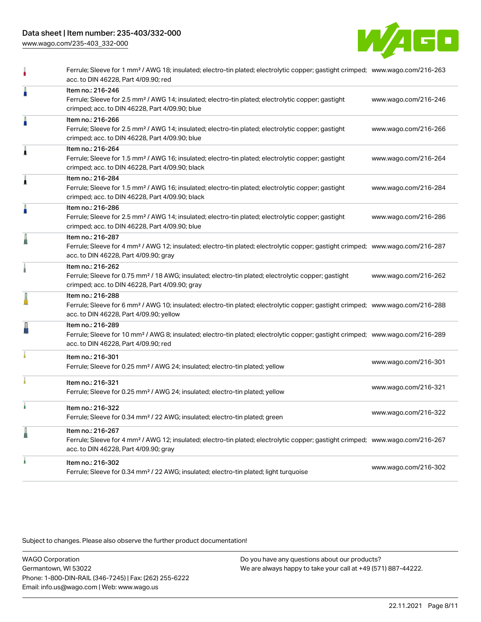[www.wago.com/235-403\\_332-000](http://www.wago.com/235-403_332-000)



|   | acc. to DIN 46228, Part 4/09.90; red                                                                                                                                                                       |                      |
|---|------------------------------------------------------------------------------------------------------------------------------------------------------------------------------------------------------------|----------------------|
| I | Item no.: 216-246<br>Ferrule; Sleeve for 2.5 mm <sup>2</sup> / AWG 14; insulated; electro-tin plated; electrolytic copper; gastight<br>crimped; acc. to DIN 46228, Part 4/09.90; blue                      | www.wago.com/216-246 |
| I | Item no.: 216-266<br>Ferrule; Sleeve for 2.5 mm <sup>2</sup> / AWG 14; insulated; electro-tin plated; electrolytic copper; gastight<br>crimped; acc. to DIN 46228, Part 4/09.90; blue                      | www.wago.com/216-266 |
| À | Item no.: 216-264<br>Ferrule; Sleeve for 1.5 mm <sup>2</sup> / AWG 16; insulated; electro-tin plated; electrolytic copper; gastight<br>crimped; acc. to DIN 46228, Part 4/09.90; black                     | www.wago.com/216-264 |
| i | Item no.: 216-284<br>Ferrule; Sleeve for 1.5 mm <sup>2</sup> / AWG 16; insulated; electro-tin plated; electrolytic copper; gastight<br>crimped; acc. to DIN 46228, Part 4/09.90; black                     | www.wago.com/216-284 |
| A | Item no.: 216-286<br>Ferrule; Sleeve for 2.5 mm <sup>2</sup> / AWG 14; insulated; electro-tin plated; electrolytic copper; gastight<br>crimped; acc. to DIN 46228, Part 4/09.90; blue                      | www.wago.com/216-286 |
| I | Item no.: 216-287<br>Ferrule; Sleeve for 4 mm <sup>2</sup> / AWG 12; insulated; electro-tin plated; electrolytic copper; gastight crimped; www.wago.com/216-287<br>acc. to DIN 46228, Part 4/09.90; gray   |                      |
|   | Item no.: 216-262<br>Ferrule; Sleeve for 0.75 mm <sup>2</sup> / 18 AWG; insulated; electro-tin plated; electrolytic copper; gastight<br>crimped; acc. to DIN 46228, Part 4/09.90; gray                     | www.wago.com/216-262 |
| l | Item no.: 216-288<br>Ferrule; Sleeve for 6 mm <sup>2</sup> / AWG 10; insulated; electro-tin plated; electrolytic copper; gastight crimped; www.wago.com/216-288<br>acc. to DIN 46228, Part 4/09.90; yellow |                      |
| J | Item no.: 216-289<br>Ferrule; Sleeve for 10 mm <sup>2</sup> / AWG 8; insulated; electro-tin plated; electrolytic copper; gastight crimped; www.wago.com/216-289<br>acc. to DIN 46228, Part 4/09.90; red    |                      |
|   | Item no.: 216-301<br>Ferrule; Sleeve for 0.25 mm <sup>2</sup> / AWG 24; insulated; electro-tin plated; yellow                                                                                              | www.wago.com/216-301 |
|   | Item no.: 216-321<br>Ferrule; Sleeve for 0.25 mm <sup>2</sup> / AWG 24; insulated; electro-tin plated; yellow                                                                                              | www.wago.com/216-321 |
| ı | Item no.: 216-322<br>Ferrule; Sleeve for 0.34 mm <sup>2</sup> / 22 AWG; insulated; electro-tin plated; green                                                                                               | www.wago.com/216-322 |
| I | Item no.: 216-267<br>Ferrule; Sleeve for 4 mm <sup>2</sup> / AWG 12; insulated; electro-tin plated; electrolytic copper; gastight crimped; www.wago.com/216-267<br>acc. to DIN 46228, Part 4/09.90; gray   |                      |
|   | Item no.: 216-302<br>Ferrule; Sleeve for 0.34 mm <sup>2</sup> / 22 AWG; insulated; electro-tin plated; light turquoise                                                                                     | www.wago.com/216-302 |

Subject to changes. Please also observe the further product documentation!

WAGO Corporation Germantown, WI 53022 Phone: 1-800-DIN-RAIL (346-7245) | Fax: (262) 255-6222 Email: info.us@wago.com | Web: www.wago.us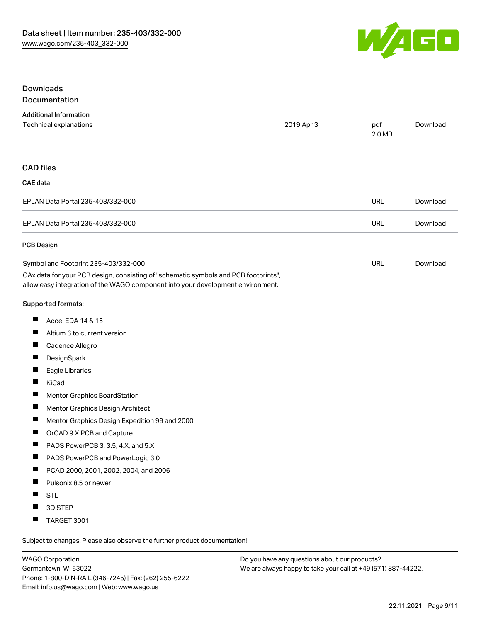

#### Downloads Documentation

| <b>Additional Information</b>                                                       |            |               |          |
|-------------------------------------------------------------------------------------|------------|---------------|----------|
| Technical explanations                                                              | 2019 Apr 3 | pdf<br>2.0 MB | Download |
|                                                                                     |            |               |          |
| <b>CAD files</b>                                                                    |            |               |          |
| <b>CAE</b> data                                                                     |            |               |          |
| EPLAN Data Portal 235-403/332-000                                                   |            | <b>URL</b>    | Download |
| EPLAN Data Portal 235-403/332-000                                                   |            | <b>URL</b>    | Download |
| <b>PCB Design</b>                                                                   |            |               |          |
| Symbol and Footprint 235-403/332-000                                                |            | <b>URL</b>    | Download |
| CAx data for your PCB design, consisting of "schematic symbols and PCB footprints", |            |               |          |
| allow easy integration of the WAGO component into your development environment.     |            |               |          |
| <b>Supported formats:</b>                                                           |            |               |          |
| Accel EDA 14 & 15<br><b>The State</b>                                               |            |               |          |
| Altium 6 to current version                                                         |            |               |          |
| <b>The Second Second</b><br>Cadence Allegro                                         |            |               |          |

- $\blacksquare$ **DesignSpark**
- $\blacksquare$ Eagle Libraries
- $\blacksquare$ KiCad
- $\blacksquare$ Mentor Graphics BoardStation
- $\blacksquare$ Mentor Graphics Design Architect
- $\blacksquare$ Mentor Graphics Design Expedition 99 and 2000
- $\blacksquare$ OrCAD 9.X PCB and Capture
- $\blacksquare$ PADS PowerPCB 3, 3.5, 4.X, and 5.X
- $\blacksquare$ PADS PowerPCB and PowerLogic 3.0
- $\blacksquare$ PCAD 2000, 2001, 2002, 2004, and 2006
- $\blacksquare$ Pulsonix 8.5 or newer
- $\blacksquare$ STL
- $\blacksquare$ 3D STEP
- $\blacksquare$ TARGET 3001!

Subject to changes. Please also observe the further product documentation!

WAGO Corporation Germantown, WI 53022 Phone: 1-800-DIN-RAIL (346-7245) | Fax: (262) 255-6222 Email: info.us@wago.com | Web: www.wago.us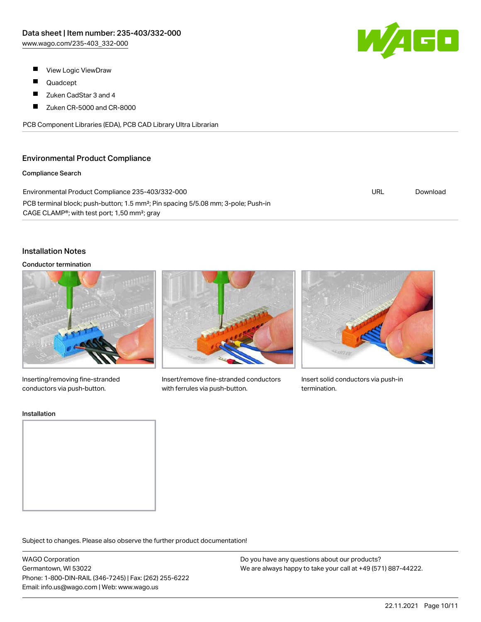W/AGO

- $\blacksquare$ View Logic ViewDraw
- $\blacksquare$ Quadcept
- $\blacksquare$ Zuken CadStar 3 and 4
- $\blacksquare$ Zuken CR-5000 and CR-8000

PCB Component Libraries (EDA), PCB CAD Library Ultra Librarian

#### Environmental Product Compliance

#### Compliance Search

| Environmental Product Compliance 235-403/332-000                                                                                                                       | URL | Download |
|------------------------------------------------------------------------------------------------------------------------------------------------------------------------|-----|----------|
| PCB terminal block; push-button; 1.5 mm <sup>2</sup> ; Pin spacing 5/5.08 mm; 3-pole; Push-in<br>CAGE CLAMP <sup>®</sup> ; with test port; 1,50 mm <sup>2</sup> ; gray |     |          |

#### Installation Notes

#### Conductor termination



Inserting/removing fine-stranded conductors via push-button.



Insert/remove fine-stranded conductors with ferrules via push-button.



Insert solid conductors via push-in termination.

#### Installation



Subject to changes. Please also observe the further product documentation!

WAGO Corporation Germantown, WI 53022 Phone: 1-800-DIN-RAIL (346-7245) | Fax: (262) 255-6222 Email: info.us@wago.com | Web: www.wago.us